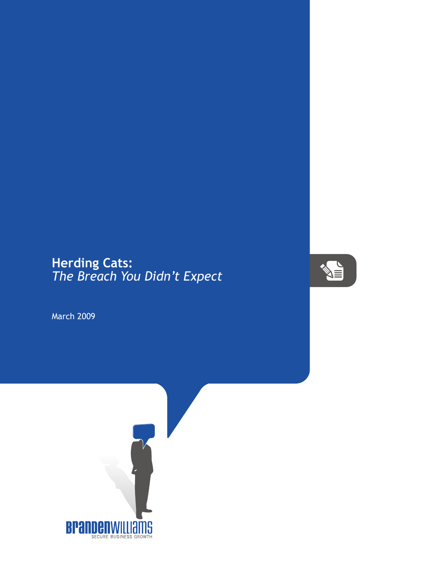## **Herding Cats:** *The Breach You Didn't Expect*



March 2009

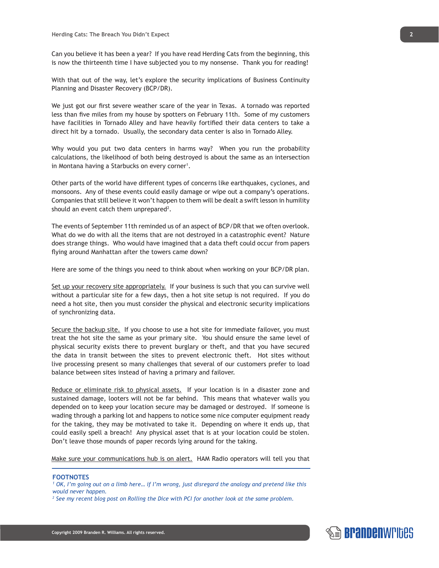Can you believe it has been a year? If you have read Herding Cats from the beginning, this is now the thirteenth time I have subjected you to my nonsense. Thank you for reading!

With that out of the way, let's explore the security implications of Business Continuity Planning and Disaster Recovery (BCP/DR).

We just got our first severe weather scare of the year in Texas. A tornado was reported less than five miles from my house by spotters on February 11th. Some of my customers have facilities in Tornado Alley and have heavily fortified their data centers to take a direct hit by a tornado. Usually, the secondary data center is also in Tornado Alley.

Why would you put two data centers in harms way? When you run the probability calculations, the likelihood of both being destroyed is about the same as an intersection in Montana having a Starbucks on every corner<sup>1</sup>.

Other parts of the world have different types of concerns like earthquakes, cyclones, and monsoons. Any of these events could easily damage or wipe out a company's operations. Companies that still believe it won't happen to them will be dealt a swift lesson in humility should an event catch them unprepared<sup>2</sup>.

The events of September 11th reminded us of an aspect of BCP/DR that we often overlook. What do we do with all the items that are not destroyed in a catastrophic event? Nature does strange things. Who would have imagined that a data theft could occur from papers flying around Manhattan after the towers came down?

Here are some of the things you need to think about when working on your BCP/DR plan.

Set up your recovery site appropriately. If your business is such that you can survive well without a particular site for a few days, then a hot site setup is not required. If you do need a hot site, then you must consider the physical and electronic security implications of synchronizing data.

Secure the backup site. If you choose to use a hot site for immediate failover, you must treat the hot site the same as your primary site. You should ensure the same level of physical security exists there to prevent burglary or theft, and that you have secured the data in transit between the sites to prevent electronic theft. Hot sites without live processing present so many challenges that several of our customers prefer to load balance between sites instead of having a primary and failover.

Reduce or eliminate risk to physical assets. If your location is in a disaster zone and sustained damage, looters will not be far behind. This means that whatever walls you depended on to keep your location secure may be damaged or destroyed. If someone is wading through a parking lot and happens to notice some nice computer equipment ready for the taking, they may be motivated to take it. Depending on where it ends up, that could easily spell a breach! Any physical asset that is at your location could be stolen. Don't leave those mounds of paper records lying around for the taking.

Make sure your communications hub is on alert. HAM Radio operators will tell you that

## **FOOTNOTES**

<sup>&</sup>lt;sup>1</sup> OK, I'm going out on a limb here... if I'm wrong, just disregard the analogy and pretend like this *would never happen.*

*<sup>2</sup> See my recent blog post on Rolling the Dice with PCI for another look at the same problem.*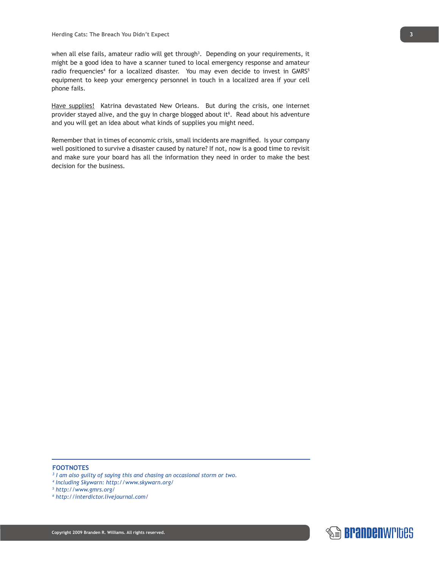when all else fails, amateur radio will get through<sup>3</sup>. Depending on your requirements, it might be a good idea to have a scanner tuned to local emergency response and amateur radio frequencies<sup>4</sup> for a localized disaster. You may even decide to invest in GMRS<sup>5</sup> equipment to keep your emergency personnel in touch in a localized area if your cell phone fails.

Have supplies! Katrina devastated New Orleans. But during the crisis, one internet provider stayed alive, and the guy in charge blogged about it<sup>6</sup>. Read about his adventure and you will get an idea about what kinds of supplies you might need.

Remember that in times of economic crisis, small incidents are magnified. Is your company well positioned to survive a disaster caused by nature? If not, now is a good time to revisit and make sure your board has all the information they need in order to make the best decision for the business.

## **FOOTNOTES**

*3 I am also guilty of saying this and chasing an occasional storm or two.*

*4 Including Skywarn: http://www.skywarn.org/*

*5 http://www.gmrs.org/*

*6 http://interdictor.livejournal.com/*